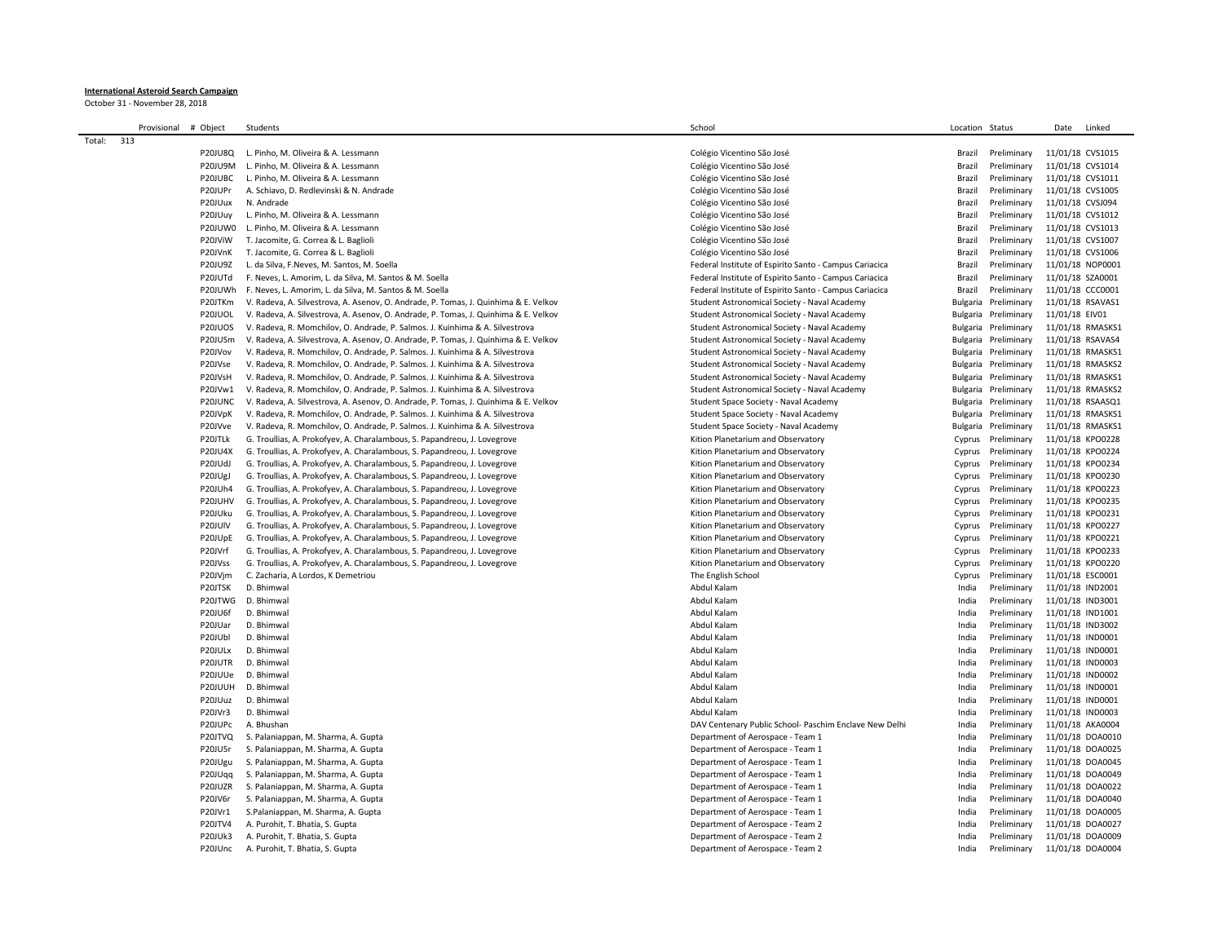## **International Asteroid Search Campaign**

October 31 - November 28, 2018

|        | Provisional | # Object       | Students                                                                            | School                                                                                                           | Location Status |                            | Date                                 | Linked           |
|--------|-------------|----------------|-------------------------------------------------------------------------------------|------------------------------------------------------------------------------------------------------------------|-----------------|----------------------------|--------------------------------------|------------------|
| Total: | 313         |                |                                                                                     |                                                                                                                  |                 |                            |                                      |                  |
|        |             | <b>P20JU8Q</b> | L. Pinho, M. Oliveira & A. Lessmann                                                 | Colégio Vicentino São José                                                                                       | Brazil          | Preliminary                | 11/01/18 CVS1015                     |                  |
|        |             | P20JU9M        | L. Pinho. M. Oliveira & A. Lessmann                                                 | Colégio Vicentino São José                                                                                       | Brazil          | Preliminary                | 11/01/18 CVS1014                     |                  |
|        |             | P20JUBC        | L. Pinho, M. Oliveira & A. Lessmann                                                 | Colégio Vicentino São José                                                                                       | Brazil          | Preliminary                | 11/01/18 CVS1011                     |                  |
|        |             | P20JUPr        | A. Schiavo, D. Redlevinski & N. Andrade                                             | Colégio Vicentino São José                                                                                       | Brazil          | Preliminary                | 11/01/18 CVS1005                     |                  |
|        |             | P20JUux        | N. Andrade                                                                          | Colégio Vicentino São José                                                                                       | Brazil          | Preliminary                | 11/01/18 CVSJ094                     |                  |
|        |             | P20JUuy        | L. Pinho, M. Oliveira & A. Lessmann                                                 | Colégio Vicentino São José                                                                                       | Brazil          | Preliminary                | 11/01/18 CVS1012                     |                  |
|        |             | P20JUW0        | L. Pinho, M. Oliveira & A. Lessmann                                                 | Colégio Vicentino São José                                                                                       | Brazil          | Preliminary                | 11/01/18 CVS1013                     |                  |
|        |             | P20JViW        | T. Jacomite, G. Correa & L. Baglioli                                                | Colégio Vicentino São José                                                                                       | Brazil          | Preliminary                | 11/01/18 CVS1007                     |                  |
|        |             | P20JVnK        | T. Jacomite, G. Correa & L. Baglioli                                                | Colégio Vicentino São José                                                                                       | Brazil          | Preliminary                | 11/01/18 CVS1006                     |                  |
|        |             | P20JU9Z        | L. da Silva, F.Neves, M. Santos, M. Soella                                          | Federal Institute of Espirito Santo - Campus Cariacica                                                           | Brazil          | Preliminary                | 11/01/18 NOP0001                     |                  |
|        |             | P20JUTd        |                                                                                     |                                                                                                                  |                 |                            |                                      |                  |
|        |             | P20JUWh        | F. Neves, L. Amorim, L. da Silva, M. Santos & M. Soella                             | Federal Institute of Espirito Santo - Campus Cariacica<br>Federal Institute of Espirito Santo - Campus Cariacica | Brazil          | Preliminary<br>Preliminary | 11/01/18 SZA0001<br>11/01/18 CCC0001 |                  |
|        |             | P20JTKm        | F. Neves, L. Amorim, L. da Silva, M. Santos & M. Soella                             | Student Astronomical Society - Naval Academy                                                                     | Brazil          |                            |                                      |                  |
|        |             |                | V. Radeva, A. Silvestrova, A. Asenov, O. Andrade, P. Tomas, J. Quinhima & E. Velkov |                                                                                                                  | Bulgaria        | Preliminary                | 11/01/18 RSAVAS1                     |                  |
|        |             | P20JUOL        | V. Radeva, A. Silvestrova, A. Asenov, O. Andrade, P. Tomas, J. Quinhima & E. Velkov | Student Astronomical Society - Naval Academy                                                                     | Bulgaria        | Preliminary                | 11/01/18 EIV01                       |                  |
|        |             | P20JUOS        | V. Radeva, R. Momchilov, O. Andrade, P. Salmos. J. Kuinhima & A. Silvestrova        | Student Astronomical Society - Naval Academy                                                                     | Bulgaria        | Preliminary                | 11/01/18 RMASKS1                     |                  |
|        |             | P20JUSm        | V. Radeva, A. Silvestrova, A. Asenov, O. Andrade, P. Tomas, J. Quinhima & E. Velkov | Student Astronomical Society - Naval Academy                                                                     | Bulgaria        | Preliminary                | 11/01/18 RSAVAS4                     |                  |
|        |             | P20JVov        | V. Radeva, R. Momchilov, O. Andrade, P. Salmos. J. Kuinhima & A. Silvestrova        | Student Astronomical Society - Naval Academy                                                                     | Bulgaria        | Preliminary                | 11/01/18 RMASKS1                     |                  |
|        |             | P20JVse        | V. Radeva, R. Momchilov, O. Andrade, P. Salmos. J. Kuinhima & A. Silvestrova        | Student Astronomical Society - Naval Academy                                                                     | Bulgaria        | Preliminary                | 11/01/18 RMASKS2                     |                  |
|        |             | P20JVsH        | V. Radeva, R. Momchilov, O. Andrade, P. Salmos. J. Kuinhima & A. Silvestrova        | Student Astronomical Society - Naval Academy                                                                     | Bulgaria        | Preliminary                | 11/01/18 RMASKS1                     |                  |
|        |             | P20JVw1        | V. Radeva, R. Momchilov, O. Andrade, P. Salmos. J. Kuinhima & A. Silvestrova        | Student Astronomical Society - Naval Academy                                                                     | Bulgaria        | Preliminary                |                                      | 11/01/18 RMASKS2 |
|        |             | P20JUNC        | V. Radeva, A. Silvestrova, A. Asenov, O. Andrade, P. Tomas, J. Quinhima & E. Velkov | Student Space Society - Naval Academy                                                                            | Bulgaria        | Preliminary                | 11/01/18 RSAASQ1                     |                  |
|        |             | P20JVpK        | V. Radeva, R. Momchilov, O. Andrade, P. Salmos. J. Kuinhima & A. Silvestrova        | Student Space Society - Naval Academy                                                                            | Bulgaria        | Preliminary                | 11/01/18 RMASKS1                     |                  |
|        |             | P20JVve        | V. Radeva, R. Momchilov, O. Andrade, P. Salmos. J. Kuinhima & A. Silvestrova        | Student Space Society - Naval Academy                                                                            | Bulgaria        | Preliminary                |                                      | 11/01/18 RMASKS1 |
|        |             | P20JTLk        | G. Troullias, A. Prokofyev, A. Charalambous, S. Papandreou, J. Lovegrove            | Kition Planetarium and Observatory                                                                               | Cyprus          | Preliminary                | 11/01/18 KPO0228                     |                  |
|        |             | <b>P20JU4X</b> | G. Troullias, A. Prokofyev, A. Charalambous, S. Papandreou, J. Lovegrove            | Kition Planetarium and Observatory                                                                               | Cyprus          | Preliminary                | 11/01/18 KPO0224                     |                  |
|        |             | P20JUdJ        | G. Troullias, A. Prokofyev, A. Charalambous, S. Papandreou, J. Lovegrove            | Kition Planetarium and Observatory                                                                               | Cyprus          | Preliminary                | 11/01/18 KPO0234                     |                  |
|        |             | P20JUgJ        | G. Troullias, A. Prokofyev, A. Charalambous, S. Papandreou, J. Lovegrove            | Kition Planetarium and Observatory                                                                               | Cyprus          | Preliminary                | 11/01/18 KPO0230                     |                  |
|        |             | P20JUh4        | G. Troullias, A. Prokofyev, A. Charalambous, S. Papandreou, J. Lovegrove            | Kition Planetarium and Observatory                                                                               | Cyprus          | Preliminary                | 11/01/18 KPO0223                     |                  |
|        |             | P20JUHV        | G. Troullias, A. Prokofyev, A. Charalambous, S. Papandreou, J. Lovegrove            | Kition Planetarium and Observatory                                                                               | Cyprus          | Preliminary                | 11/01/18 KPO0235                     |                  |
|        |             | P20JUku        | G. Troullias, A. Prokofyev, A. Charalambous, S. Papandreou, J. Lovegrove            | Kition Planetarium and Observatory                                                                               | Cyprus          | Preliminary                | 11/01/18 KPO0231                     |                  |
|        |             | P20JUIV        | G. Troullias, A. Prokofyev, A. Charalambous, S. Papandreou, J. Lovegrove            | Kition Planetarium and Observatory                                                                               | Cyprus          | Preliminary                | 11/01/18 KPO0227                     |                  |
|        |             | P20JUpE        | G. Troullias, A. Prokofyev, A. Charalambous, S. Papandreou, J. Lovegrove            | Kition Planetarium and Observatory                                                                               | Cyprus          | Preliminary                | 11/01/18 KPO0221                     |                  |
|        |             | P20JVrf        | G. Troullias, A. Prokofyev, A. Charalambous, S. Papandreou, J. Lovegrove            | Kition Planetarium and Observatory                                                                               | Cyprus          | Preliminary                | 11/01/18 KPO0233                     |                  |
|        |             | P20JVss        | G. Troullias, A. Prokofyev, A. Charalambous, S. Papandreou, J. Lovegrove            | Kition Planetarium and Observatory                                                                               | Cyprus          | Preliminary                | 11/01/18 KPO0220                     |                  |
|        |             | P20JVjm        | C. Zacharia, A Lordos, K Demetriou                                                  | The English School                                                                                               | Cyprus          | Preliminary                | 11/01/18 ESC0001                     |                  |
|        |             | P20JTSK        | D. Bhimwal                                                                          | Abdul Kalam                                                                                                      | India           | Preliminary                | 11/01/18 IND2001                     |                  |
|        |             | P20JTWG        | D. Bhimwal                                                                          | Abdul Kalam                                                                                                      | India           | Preliminary                | 11/01/18 IND3001                     |                  |
|        |             | P20JU6f        | D. Bhimwal                                                                          | Abdul Kalam                                                                                                      | India           | Preliminary                | 11/01/18 IND1001                     |                  |
|        |             | P20JUar        | D. Bhimwal                                                                          | Abdul Kalam                                                                                                      | India           | Preliminary                | 11/01/18 IND3002                     |                  |
|        |             | P20JUbl        | D. Bhimwal                                                                          | Abdul Kalam                                                                                                      | India           | Preliminary                | 11/01/18 IND0001                     |                  |
|        |             | P20JULx        | D. Bhimwal                                                                          | Abdul Kalam                                                                                                      | India           | Preliminary                | 11/01/18 IND0001                     |                  |
|        |             | P20JUTR        | D. Bhimwal                                                                          | Abdul Kalam                                                                                                      | India           | Preliminary                | 11/01/18 IND0003                     |                  |
|        |             | P20JUUe        | D. Bhimwal                                                                          | Abdul Kalam                                                                                                      | India           | Preliminary                | 11/01/18 IND0002                     |                  |
|        |             | P20JUUH        | D. Bhimwal                                                                          | Abdul Kalam                                                                                                      | India           | Preliminary                | 11/01/18 IND0001                     |                  |
|        |             | P20JUuz        | D. Bhimwal                                                                          | Abdul Kalam                                                                                                      | India           | Preliminary                | 11/01/18 IND0001                     |                  |
|        |             | P20JVr3        | D. Bhimwal                                                                          | Abdul Kalam                                                                                                      | India           | Preliminary                | 11/01/18 IND0003                     |                  |
|        |             | P20JUPc        | A. Bhushan                                                                          | DAV Centenary Public School- Paschim Enclave New Delhi                                                           | India           | Preliminary                | 11/01/18 AKA0004                     |                  |
|        |             | P20JTVQ        | S. Palaniappan, M. Sharma, A. Gupta                                                 | Department of Aerospace - Team 1                                                                                 | India           | Preliminary                | 11/01/18 DOA0010                     |                  |
|        |             | P20JU5r        | S. Palaniappan, M. Sharma, A. Gupta                                                 | Department of Aerospace - Team 1                                                                                 | India           | Preliminary                | 11/01/18 DOA0025                     |                  |
|        |             | P20JUgu        | S. Palaniappan, M. Sharma, A. Gupta                                                 | Department of Aerospace - Team 1                                                                                 | India           | Preliminary                | 11/01/18 DOA0045                     |                  |
|        |             | P20JUqq        | S. Palaniappan, M. Sharma, A. Gupta                                                 | Department of Aerospace - Team 1                                                                                 | India           | Preliminary                | 11/01/18 DOA0049                     |                  |
|        |             | P20JUZR        | S. Palaniappan, M. Sharma, A. Gupta                                                 | Department of Aerospace - Team 1                                                                                 | India           | Preliminary                | 11/01/18 DOA0022                     |                  |
|        |             | P20JV6r        | S. Palaniappan, M. Sharma, A. Gupta                                                 | Department of Aerospace - Team 1                                                                                 | India           | Preliminary                |                                      | 11/01/18 DOA0040 |
|        |             | P20JVr1        | S.Palaniappan, M. Sharma, A. Gupta                                                  | Department of Aerospace - Team 1                                                                                 | India           | Preliminary                | 11/01/18 DOA0005                     |                  |
|        |             | P20JTV4        | A. Purohit, T. Bhatia, S. Gupta                                                     | Department of Aerospace - Team 2                                                                                 | India           | Preliminary                | 11/01/18 DOA0027                     |                  |
|        |             | P20JUk3        | A. Purohit, T. Bhatia, S. Gupta                                                     | Department of Aerospace - Team 2                                                                                 | India           | Preliminary                | 11/01/18 DOA0009                     |                  |
|        |             | P20JUnc        | A. Purohit, T. Bhatia, S. Gupta                                                     | Department of Aerospace - Team 2                                                                                 | India           | Preliminary                | 11/01/18 DOA0004                     |                  |
|        |             |                |                                                                                     |                                                                                                                  |                 |                            |                                      |                  |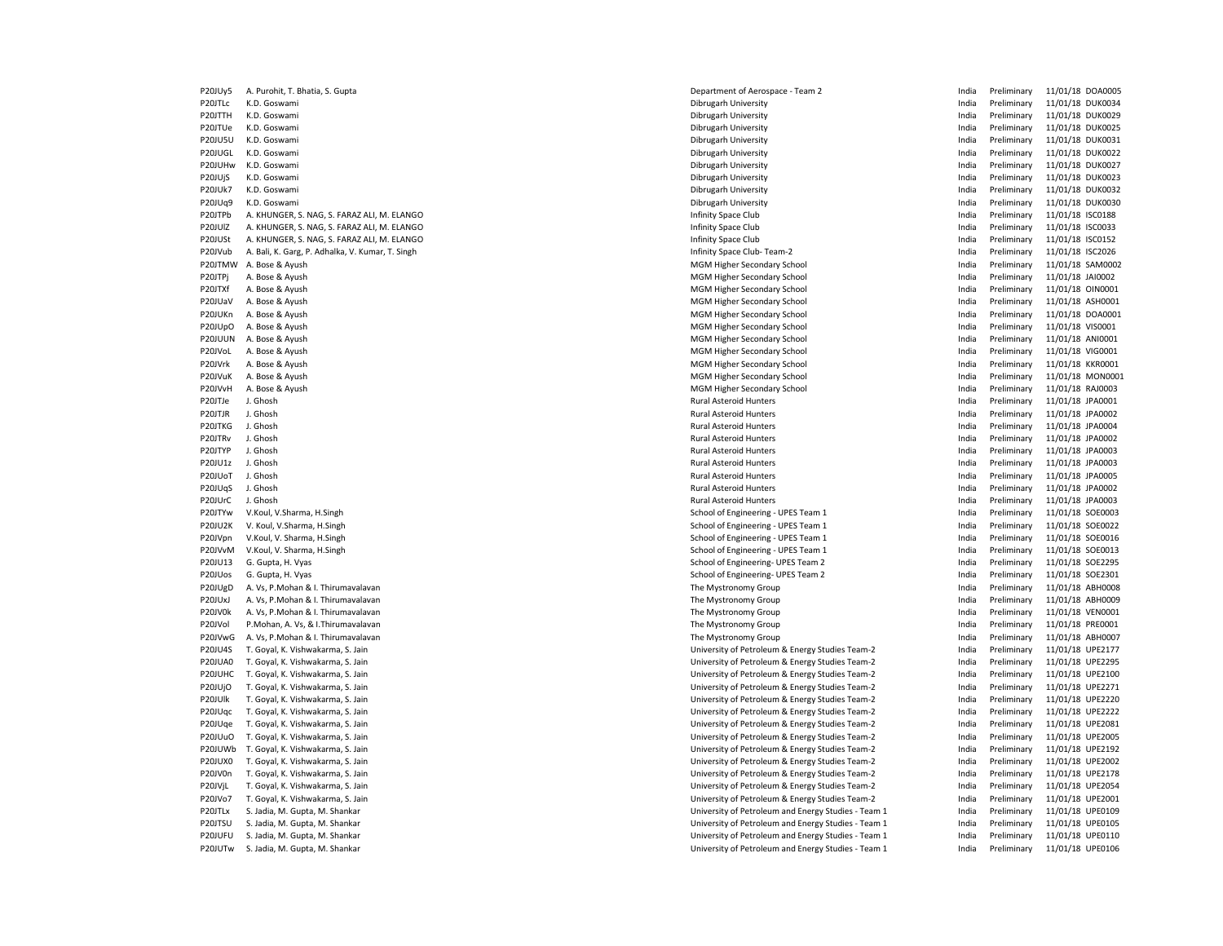| P20JUy5        | A. Purohit, T. Bhatia, S. Gupta                  | Department of Aerospace - Team 2                    | India | Preliminary | 11/01/18 DOA0005 |
|----------------|--------------------------------------------------|-----------------------------------------------------|-------|-------------|------------------|
| P20JTLc        | K.D. Goswami                                     | Dibrugarh University                                | India | Preliminary | 11/01/18 DUK0034 |
| P20JTTH        | K.D. Goswami                                     | Dibrugarh University                                | India | Preliminary | 11/01/18 DUK0029 |
| P20JTUe        | K.D. Goswami                                     | Dibrugarh University                                | India | Preliminary | 11/01/18 DUK0025 |
| <b>P20JU5U</b> | K.D. Goswami                                     | Dibrugarh University                                | India | Preliminary | 11/01/18 DUK0031 |
| P20JUGL        | K.D. Goswami                                     | Dibrugarh University                                | India | Preliminary | 11/01/18 DUK0022 |
| P20JUHw        | K.D. Goswami                                     | Dibrugarh University                                | India | Preliminary | 11/01/18 DUK0027 |
| P20JUjS        | K.D. Goswami                                     | Dibrugarh University                                | India | Preliminary | 11/01/18 DUK0023 |
| <b>P20JUk7</b> | K.D. Goswami                                     | Dibrugarh University                                | India | Preliminary | 11/01/18 DUK0032 |
| P20JUq9        | K.D. Goswami                                     | Dibrugarh University                                | India | Preliminary | 11/01/18 DUK0030 |
| P20JTPb        | A. KHUNGER, S. NAG, S. FARAZ ALI, M. ELANGO      | Infinity Space Club                                 | India | Preliminary | 11/01/18 ISC0188 |
| P20JUIZ        | A. KHUNGER, S. NAG, S. FARAZ ALI, M. ELANGO      | Infinity Space Club                                 | India | Preliminary | 11/01/18 ISC0033 |
| P20JUSt        | A. KHUNGER, S. NAG, S. FARAZ ALI, M. ELANGO      | Infinity Space Club                                 | India | Preliminary | 11/01/18 ISC0152 |
| P20JVub        | A. Bali, K. Garg, P. Adhalka, V. Kumar, T. Singh | Infinity Space Club-Team-2                          | India | Preliminary | 11/01/18 ISC2026 |
| P20JTMW        | A. Bose & Ayush                                  | MGM Higher Secondary School                         | India | Preliminary | 11/01/18 SAM0002 |
| P20JTPj        | A. Bose & Ayush                                  | MGM Higher Secondary School                         | India | Preliminary | 11/01/18 JAI0002 |
| P20JTXf        | A. Bose & Ayush                                  | MGM Higher Secondary School                         | India | Preliminary | 11/01/18 OIN0001 |
| P20JUaV        | A. Bose & Ayush                                  | MGM Higher Secondary School                         | India | Preliminary | 11/01/18 ASH0001 |
| P20JUKn        | A. Bose & Ayush                                  | MGM Higher Secondary School                         | India | Preliminary | 11/01/18 DOA0001 |
| P20JUpO        | A. Bose & Ayush                                  | MGM Higher Secondary School                         | India | Preliminary | 11/01/18 VIS0001 |
| P20JUUN        | A. Bose & Ayush                                  | MGM Higher Secondary School                         | India | Preliminary | 11/01/18 ANI0001 |
| P20JVoL        | A. Bose & Ayush                                  | MGM Higher Secondary School                         | India | Preliminary | 11/01/18 VIG0001 |
| P20JVrk        | A. Bose & Ayush                                  | MGM Higher Secondary School                         | India | Preliminary | 11/01/18 KKR0001 |
| P20JVuK        | A. Bose & Ayush                                  | MGM Higher Secondary School                         | India | Preliminary | 11/01/18 MON000  |
| P20JVvH        | A. Bose & Ayush                                  | MGM Higher Secondary School                         | India | Preliminary | 11/01/18 RAJ0003 |
| P20JTJe        | J. Ghosh                                         | <b>Rural Asteroid Hunters</b>                       | India | Preliminary | 11/01/18 JPA0001 |
| P20JTJR        | J. Ghosh                                         | <b>Rural Asteroid Hunters</b>                       | India | Preliminary | 11/01/18 JPA0002 |
| P20JTKG        | J. Ghosh                                         | <b>Rural Asteroid Hunters</b>                       | India | Preliminary | 11/01/18 JPA0004 |
| P20JTRv        | J. Ghosh                                         | <b>Rural Asteroid Hunters</b>                       | India | Preliminary | 11/01/18 JPA0002 |
| P20JTYP        | J. Ghosh                                         | <b>Rural Asteroid Hunters</b>                       | India | Preliminary | 11/01/18 JPA0003 |
| P20JU1z        | J. Ghosh                                         | <b>Rural Asteroid Hunters</b>                       | India | Preliminary | 11/01/18 JPA0003 |
| P20JUoT        | J. Ghosh                                         | <b>Rural Asteroid Hunters</b>                       | India | Preliminary | 11/01/18 JPA0005 |
| P20JUqS        | J. Ghosh                                         | Rural Asteroid Hunters                              | India | Preliminary | 11/01/18 JPA0002 |
| P20JUrC        | J. Ghosh                                         | Rural Asteroid Hunters                              | India | Preliminary | 11/01/18 JPA0003 |
| P20JTYw        | V.Koul, V.Sharma, H.Singh                        | School of Engineering - UPES Team 1                 | India | Preliminary | 11/01/18 SOE0003 |
| P20JU2K        | V. Koul, V.Sharma, H.Singh                       | School of Engineering - UPES Team 1                 | India | Preliminary | 11/01/18 SOE0022 |
| P20JVpn        | V.Koul, V. Sharma, H.Singh                       | School of Engineering - UPES Team 1                 | India | Preliminary | 11/01/18 SOE0016 |
| P20JVvM        | V.Koul, V. Sharma, H.Singh                       | School of Engineering - UPES Team 1                 | India | Preliminary | 11/01/18 SOE0013 |
| P20JU13        | G. Gupta, H. Vyas                                | School of Engineering- UPES Team 2                  | India | Preliminary | 11/01/18 SOE2295 |
| P20JUos        | G. Gupta, H. Vyas                                | School of Engineering- UPES Team 2                  | India | Preliminary | 11/01/18 SOE2301 |
| P20JUgD        | A. Vs, P. Mohan & I. Thirumavalavan              | The Mystronomy Group                                | India | Preliminary | 11/01/18 ABH0008 |
| P20JUxJ        | A. Vs, P. Mohan & I. Thirumavalavan              | The Mystronomy Group                                | India | Preliminary | 11/01/18 ABH0009 |
| P20JV0k        | A. Vs, P. Mohan & I. Thirumavalavan              | The Mystronomy Group                                | India | Preliminary | 11/01/18 VEN0001 |
| P20JVol        | P.Mohan, A. Vs, & I.Thirumavalavan               | The Mystronomy Group                                | India | Preliminary | 11/01/18 PRE0001 |
| P20JVwG        | A. Vs, P.Mohan & I. Thirumavalavan               | The Mystronomy Group                                | India | Preliminary | 11/01/18 ABH0007 |
| <b>P20JU4S</b> | T. Goyal, K. Vishwakarma, S. Jain                | University of Petroleum & Energy Studies Team-2     | India | Preliminary | 11/01/18 UPE2177 |
| P20JUA0        | T. Goyal, K. Vishwakarma, S. Jain                | University of Petroleum & Energy Studies Team-2     | India | Preliminary | 11/01/18 UPE2295 |
| P20JUHC        | T. Goyal, K. Vishwakarma, S. Jain                | University of Petroleum & Energy Studies Team-2     | India | Preliminary | 11/01/18 UPE2100 |
| P20JUjO        | T. Goyal, K. Vishwakarma, S. Jain                | University of Petroleum & Energy Studies Team-2     | India | Preliminary | 11/01/18 UPE2271 |
| P20JUlk        | T. Goyal, K. Vishwakarma, S. Jain                | University of Petroleum & Energy Studies Team-2     | India | Preliminary | 11/01/18 UPE2220 |
| P20JUqc        | T. Goyal, K. Vishwakarma, S. Jain                | University of Petroleum & Energy Studies Team-2     | India | Preliminary | 11/01/18 UPE2222 |
| P20JUqe        | T. Goyal, K. Vishwakarma, S. Jain                | University of Petroleum & Energy Studies Team-2     | India | Preliminary | 11/01/18 UPE2081 |
| P20JUuO        | T. Goyal, K. Vishwakarma, S. Jain                | University of Petroleum & Energy Studies Team-2     | India | Preliminary | 11/01/18 UPE2005 |
| P20JUWb        | T. Goyal, K. Vishwakarma, S. Jain                | University of Petroleum & Energy Studies Team-2     | India | Preliminary | 11/01/18 UPE2192 |
| P20JUX0        | T. Goyal, K. Vishwakarma, S. Jain                | University of Petroleum & Energy Studies Team-2     | India | Preliminary | 11/01/18 UPE2002 |
| P20JV0n        | T. Goyal, K. Vishwakarma, S. Jain                | University of Petroleum & Energy Studies Team-2     | India | Preliminary | 11/01/18 UPE2178 |
| P20JVjL        | T. Goyal, K. Vishwakarma, S. Jain                | University of Petroleum & Energy Studies Team-2     | India | Preliminary | 11/01/18 UPE2054 |
| P20JVo7        | T. Goyal, K. Vishwakarma, S. Jain                | University of Petroleum & Energy Studies Team-2     | India | Preliminary | 11/01/18 UPE2001 |
| P20JTLx        | S. Jadia, M. Gupta, M. Shankar                   | University of Petroleum and Energy Studies - Team 1 | India | Preliminary | 11/01/18 UPE0109 |
| P20JTSU        | S. Jadia, M. Gupta, M. Shankar                   | University of Petroleum and Energy Studies - Team 1 | India | Preliminary | 11/01/18 UPE0105 |
| P20JUFU        | S. Jadia, M. Gupta, M. Shankar                   | University of Petroleum and Energy Studies - Team 1 | India | Preliminary | 11/01/18 UPE0110 |
| P20JUTw        | S. Jadia, M. Gupta, M. Shankar                   | University of Petroleum and Energy Studies - Team 1 | India | Preliminary | 11/01/18 UPE0106 |
|                |                                                  |                                                     |       |             |                  |

| India | Preliminary |                  | 11/01/18 DUK0034 |
|-------|-------------|------------------|------------------|
| India | Preliminary | 11/01/18 DUK0029 |                  |
| India | Preliminary |                  | 11/01/18 DUK0025 |
| India | Preliminary | 11/01/18         | DUK0031          |
| India | Preliminary |                  | 11/01/18 DUK0022 |
| India | Preliminary | 11/01/18         | <b>DUK0027</b>   |
| India | Preliminary | 11/01/18         | <b>DUK0023</b>   |
| India | Preliminary | 11/01/18         | <b>DUK0032</b>   |
| India | Preliminary | 11/01/18         | <b>DUK0030</b>   |
| India | Preliminary | 11/01/18         | <b>ISC0188</b>   |
| India | Preliminary | 11/01/18         | ISC0033          |
| India | Preliminary | 11/01/18         | ISC0152          |
| India | Preliminary | 11/01/18         | <b>ISC2026</b>   |
| India | Preliminary | 11/01/18         | SAM0002          |
| India | Preliminary | 11/01/18         | JAI0002          |
| India | Preliminary | 11/01/18         | OIN0001          |
| India | Preliminary | 11/01/18         | ASH0001          |
| India | Preliminary | 11/01/18         | DOA0001          |
| India | Preliminary | 11/01/18         | VIS0001          |
| India | Preliminary | 11/01/18         | ANI0001          |
| India | Preliminary | 11/01/18         | VIG0001          |
| India | Preliminary | 11/01/18         | <b>KKR0001</b>   |
| India | Preliminary |                  | 11/01/18 MON000  |
| India | Preliminary | 11/01/18 RAJ0003 |                  |
| India | Preliminary | 11/01/18         | JPA0001          |
| India | Preliminary | 11/01/18         | JPA0002          |
| India | Preliminary | 11/01/18         | JPA0004          |
| India | Preliminary | 11/01/18         | JPA0002          |
| India | Preliminary | 11/01/18         | JPA0003          |
| India | Preliminary | 11/01/18         | JPA0003          |
| India | Preliminary | 11/01/18         | JPA0005          |
| India | Preliminary | 11/01/18         | JPA0002          |
| India | Preliminary | 11/01/18         | JPA0003          |
| India | Preliminary | 11/01/18         | SOE0003          |
| India | Preliminary | 11/01/18         | SOE0022          |
| India | Preliminary | 11/01/18         | SOE0016          |
| India | Preliminary | 11/01/18         | SOE0013          |
| India | Preliminary | 11/01/18         | SOE2295          |
| India | Preliminary | 11/01/18         | SOE2301          |
| India | Preliminary | 11/01/18         | ABH0008          |
| India | Preliminary | 11/01/18         | ABH0009          |
| India | Preliminary | 11/01/18         | <b>VEN0001</b>   |
| India | Preliminary | 11/01/18         | PRE0001          |
| India | Preliminary | 11/01/18         | ABH0007          |
| India | Preliminary | 11/01/18         | UPE2177          |
| India | Preliminary | 11/01/18         | <b>UPE2295</b>   |
| India | Preliminary | 11/01/18         | UPE2100          |
| India | Preliminary | 11/01/18         | UPE2271          |
| India | Preliminary | 11/01/18         | <b>UPE2220</b>   |
| India | Preliminary | 11/01/18         | <b>UPE2222</b>   |
| India | Preliminary | 11/01/18         | UPE2081          |
| India | Preliminary | 11/01/18         | <b>UPE2005</b>   |
| India | Preliminary | 11/01/18         | <b>UPE2192</b>   |
| India | Preliminary | 11/01/18         | <b>UPE2002</b>   |
| India | Preliminary | 11/01/18         | <b>UPE2178</b>   |
| India | Preliminary | 11/01/18         | <b>UPE2054</b>   |
| India | Preliminary | 11/01/18         | UPE2001          |
| India | Preliminary | 11/01/18         | UPE0109          |
| India | Preliminary | 11/01/18         | UPE0105          |
| India | Preliminary | 11/01/18         | <b>UPE0110</b>   |
| India | Preliminary | 11/01/18         | <b>UPE0106</b>   |
|       |             |                  |                  |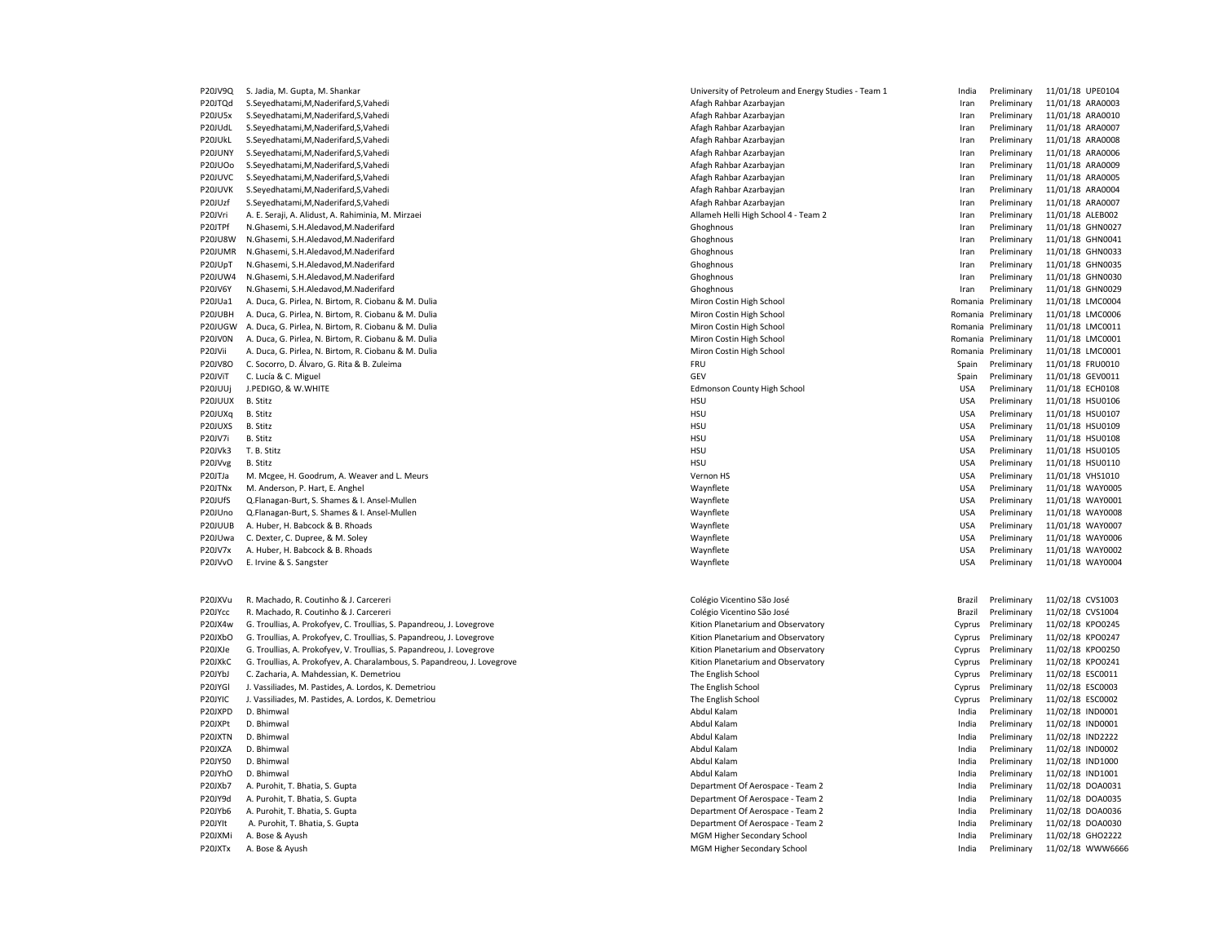P20JV9Q S. Jadia, M. Gupta, M. Shankar Maxwell and Energy Studies - Team 1 India Preliminary 11/01/18 UPE0104 P20JTQd S.Seyedhatami,M,Naderifard,S,Vahedi **Afagh Rahbar Azarbayjan** Afagh Rahbar Azarbayjan **Iran Preliminary 11/01/18 ARA0003** P20JU5x S.Seyedhatami,M,Naderifard,S,Vahedi <br>
Afagh Rahbar Azarbayjan Iran Iran Iran Preliminary 11/01/18 ARA0010 P20JUdL S.Seyedhatami,M,Naderifard,S,Vahedi ethebas and the serves and the serves and the serves and the serves and the serves and the serves and the serves are a more than the serves and the serves are a more than the ser P20JUkL S.Seyedhatami,M,Naderifard,S,Vahedi **Afagh Rahbar Azarbayidan** Afagh Rahbar Azarbayjan **Iran Preliminary 11/01/18 ARA0008** P20JUNY S.Seyedhatami,M,Naderifard,S,Vahedi **Afagh Rahbar Azarbayjan** Afagh Rahbar Azarbayjan **Iran Preliminary 11/01/18 ARA0006** P20JUOo S.Seyedhatami,M,Naderifard,S,Vahedi Afagh Rahbar Azarbayjan Iran Preliminary 11/01/18 ARA0009 P20JUVC S.Seyedhatami,M,Naderifard,S,Vahedi Afagh Rahbar Azarbayjan Iran Preliminary 11/01/18 ARA0005 P20JUVK S.Seyedhatami,M,Naderifard,S,Vahedi Aran Preliminary 11/2012 ambar Azarbayjan Afagh Rahbar Azarbayjan Iran Preliminary 11/18 Aran Preliminary 11/18 Aran Preliminary 11/18 Aran Preliminary 11/18 Aran Preliminary 11/ P20JUzf S.Seyedhatami,M,Naderifard,S,Vahedi **Afagh Rahbar Azarbayjan** Afagh Rahbar Azarbayjan Iran Preliminary 11/01/18 ARA0007 P20JVri A. E. Seraji, A. Alidust, A. Rahiminia, M. Mirzaei Allameh Helli High School 4 - Team 2 Iran Preliminary 11/01/18 ALEB002 P20JTPf N.Ghasemi, S.H.Aledavod.M.Naderifard Chronic Chronic Chronic Chronic Chronic Chronic Chronic Chronic Chronic Chronic Chronic Chronic Chronic Chronic Chronic Chronic Chronic Chronic Chronic Chronic Chronic Chronic C P20JU8W N.Ghasemi, S.H.Aledavod,M.Naderifard Chomos Choghnous Choghnous Choghnous Iran Preliminary 11/01/18 GHN0041 P20JUMR N.Ghasemi, S.H.Aledavod,M.Naderifard Chome Chome Chopy Chops and Chopy Chopy Chopy Chopy Chopy Chopy Chopy Chopy Chopy Chopy Chopy Chopy Chopy Chopy Chopy Chopy Chopy Chopy Chopy Chopy Chopy Chopy Chopy Chopy Chopy P20JUpT N.Ghasemi, S.H.Aledavod,M.Naderifard Chome Chome Chome Chope Chope Chope Chope Chope Chope Chope Chope Chope Chope Chope Chope Chope Chope Chope Chope Chope Chope Chope Chope Chope Chope Chope Chope Chope Chope Cho P20JUW4 N.Ghasemi, S.H.Aledavod,M.Naderifard Chome Chome Chopy of Choghnous Choghnous Choghnous Iran Preliminary 11/01/18 GHN0030 P20JV6Y N.Ghasemi, S.H.Aledavod,M.Naderifard Chomochinary and Choghnous Choghnous Choghnous In the liminary 11/01/18 GHN0029 P20JUa1 A. Duca, G. Pirlea, N. Birtom, R. Ciobanu & M. Dulia Miron Costin High School Miron Costin High School Romania Preliminary 11/01/18 LMC0004 P20JUBH A. Duca, G. Pirlea, N. Birtom, R. Ciobanu & M. Dulia Miron Costin High School Miron Costin High School Romania Preliminary 11/01/18 LMC0006 P20JUGW A. Duca, G. Pirlea, N. Birtom, R. Ciobanu & M. Dulia Miron Costin High School Miron Costin High School Romania Preliminary 11/01/18 LMC0011 P20JV0N A. Duca, G. Pirlea, N. Birtom, R. Ciobanu & M. Dulia Miron Costin High School Miron Costin High School Romania Preliminary 11/01/18 LMC0001 P20JVii A. Duca, G. Pirlea, N. Birtom, R. Ciobanu & M. Dulia Miron Costin High School Miron Costin High School Romania Preliminary 11/01/18 LMC0001 P20JV8O C. Socorro, D. Álvaro, G. Rita & B. Zuleima FRU Spain Preliminary 11/01/18 FRUO010 P20JViT C. Lucía & C. Miguel GEV Spain Preliminary 11/01/18 GEV0011 P20JUUj J.PEDIGO, & W.WHITE Edmonson County High School USA Preliminary 11/01/18 ECH0108 P20JUUX B.Stitz Sand Marketin and Sand Marketin and Sand Marketin and Marketin and Marketin and Marketin and Marketin and Marketin and Marketin and Marketin and Marketin and Marketin and Marketin and Marketin and Marketin P20JUXq B. Stitz external of the state of the state of the state of the state of the state of the state of the state of the state of the state of the state of the state of the state of the state of the state of the state o P20JUXS B. Stitz examples the state of the state of the HSU HSU USA Preliminary 11/01/18 HSU0109 P20JV7i B. Stitz Stitz School Stitz School and School Stitz School and School Stitz School and School Stitz School and School Stitz School and School School School and School School School School School School School Schoo P20JVk3 T. B. Stitz 2001/11/12 HSU USA Preliminary 11/01/18 HSU0105 P20JVvg B. Stitz Stitz Subsection of the USA Preliminary 11/01/18 HSU0110 P20JTJa M. Mcgee, H. Goodrum, A. Weaver and L. Meurs Vernon HT Vernon HS Vernon HS Vernon HS Vernon HS VERNON USA Preliminary 11/01/18 VHS1010 P20JTNx M. Anderson, P. Hart, E. Anghel Navy and Magnusian and Magnusian and Magnusian and Waynflete Magnusian and Magnusian and USA Preliminary 11/01/18 WAY0005 P20JUfS Q.Flanagan-Burt, S. Shames & I. Ansel-Mullen Waynto Martin Martin Martin Martin Martin Martin Martin Martin Martin Martin Martin Martin Martin Martin D. Preliminary 11/01/18 WAY0001 P20JUno Q.Flanagan-Burt, S. Shames & I. Ansel-Mullen Waynes and Maynes and Maynes are well waynes are when we wanted waynes are well waynes with the USA Preliminary 11/01/18 WAY0008 P20JUUB A. Huber, H. Babcock & B. Rhoads examples and the state of the Maynflete Maynflete Maynflete Changes and the USA Preliminary 11/01/18 WAY0007 P20JUwa C. Dexter, C. Dupree, & M. Soley Nay and Sole and Sole and Sole Maynflete Maynflete Maynflete Maynflete Maynflete Maynflete USA Preliminary 11/01/18 WAY0006 P20JV7x A. Huber, H. Babcock & B. Rhoads entitled and the state of the Maynflete Maynflete Companies are the USA Preliminary 11/01/18 WAY0002 P20JVvO E. Irvine & S. Sangster examples and the state of the Maynflete Maynflete Maynflete and the USA Preliminary 11/01/18 WAY0004 P20JXVu R. Machado, R. Coutinho & J. Carcereri Computer Colégio Vicentino São José Colégio Vicentino São José Brazil Preliminary 11/02/18 CVS1003 P20JYcc R. Machado, R. Coutinho & J. Carcereri Colégio Vicentino São José Colégio Vicentino São José Colégio Vicentino São José Brazil Preliminary 11/02/18 CVS1004 P20JX4w G. Troullias, A. Prokofyev, C. Troullias, S. Papandreou, J. Lovegrove Warehove Kition Planetarium and Observatory Cyprus Preliminary 11/02/18 KPO0245 P20JXbO G. Troullias, A. Prokofyev, C. Troullias, S. Papandreou, J. Lovegrove Chronic Cyprus Preliminary 11/02/18 KPO0247 P20JXJe G. Troullias, A. Prokofyev, V. Troullias, S. Papandreou, J. Lovegrove enterty and the state of the Cyprus Cyprus Preliminary 11/02/18 KPO0250 P20JXkC G. Troullias, A. Prokofyev, A. Charalambous, S. Papandreou, J. Lovegrove externed and the strough and Observatory Cyprus Preliminary 11/02/18 KPO0241 P20JYbJ C. Zacharia, A. Mahdessian, K. Demetriou etc. etc. Cyprus Preliminary 11/02/18 ESC0011 P20JYGl J. Vassiliades, M. Pastides, A. Lordos, K. Demetriou Cyprus Preliminary 11/02/18 ESC0003 P20JYIC J. Vassiliades, M. Pastides, A. Lordos, K. Demetriou The English School The English School Cyprus Preliminary 11/02/18 ESC0002 P20JXPD D. Bhimwal Abdul Kalam Abdul Kalam India Preliminary 11/02/18 IND0001 Note to the Magnetic Second Abdul Kalam Abdul Kalam India Preliminary 11/02/18 IND0001 P20JXPt D. Bhimwal Abdul Kalam India Preliminary 11/02/18 IND0001 P20JXTN D. Bhimwal and the state of the state of the state of the state of the state of the state of the state of the state of the state of the state of the state of the state of the state of the state of the state of the P20JXZA D. Bhimwal Abdul Kalam India Preliminary 11/02/18 IND0002 P20JY50 D. Bhimwal Abdul Kalam India Preliminary 11/02/18 IND1000 P20JYhO D. Bhimwal 11/02/18 IND1001 NO 2001 November 2012 Abdul Kalam Abdul Kalam India Preliminary 11/02/18 IND1001 P20JXb7 A. Purohit, T. Bhatia, S. Gupta Newslette Archives and Department Of Aerospace - Team 2 Theoretic Linking and Department Of Aerospace - Team 2 India Preliminary 11/02/18 DOA0031 P20JY9d A. Purohit, T. Bhatia, S. Gupta Department Of Aerospace - Team 2 Pepartment Of Aerospace - Team 2 Pepartment Of Aerospace - Team 2 India Preliminary 11/02/18 DOA0035 P20JYb6 A. Purohit, T. Bhatia, S. Gupta Department Of Aerospace - Team 2 India Preliminary 11/02/18 DOA0036 P20JYIt A. Purohit, T. Bhatia, S. Gupta **Department Of Aerospace - Team 2** India Preliminary 11/02/18 DOA0030 P20JXMi A. Bose & Ayush MGM Higher Secondary School MGM Higher Secondary School India Preliminary 11/02/18 GHO2222 P20JXTx A. Bose & Ayush MGM Higher Secondary School and a method of the India Preliminary 11/02/18 WWW6666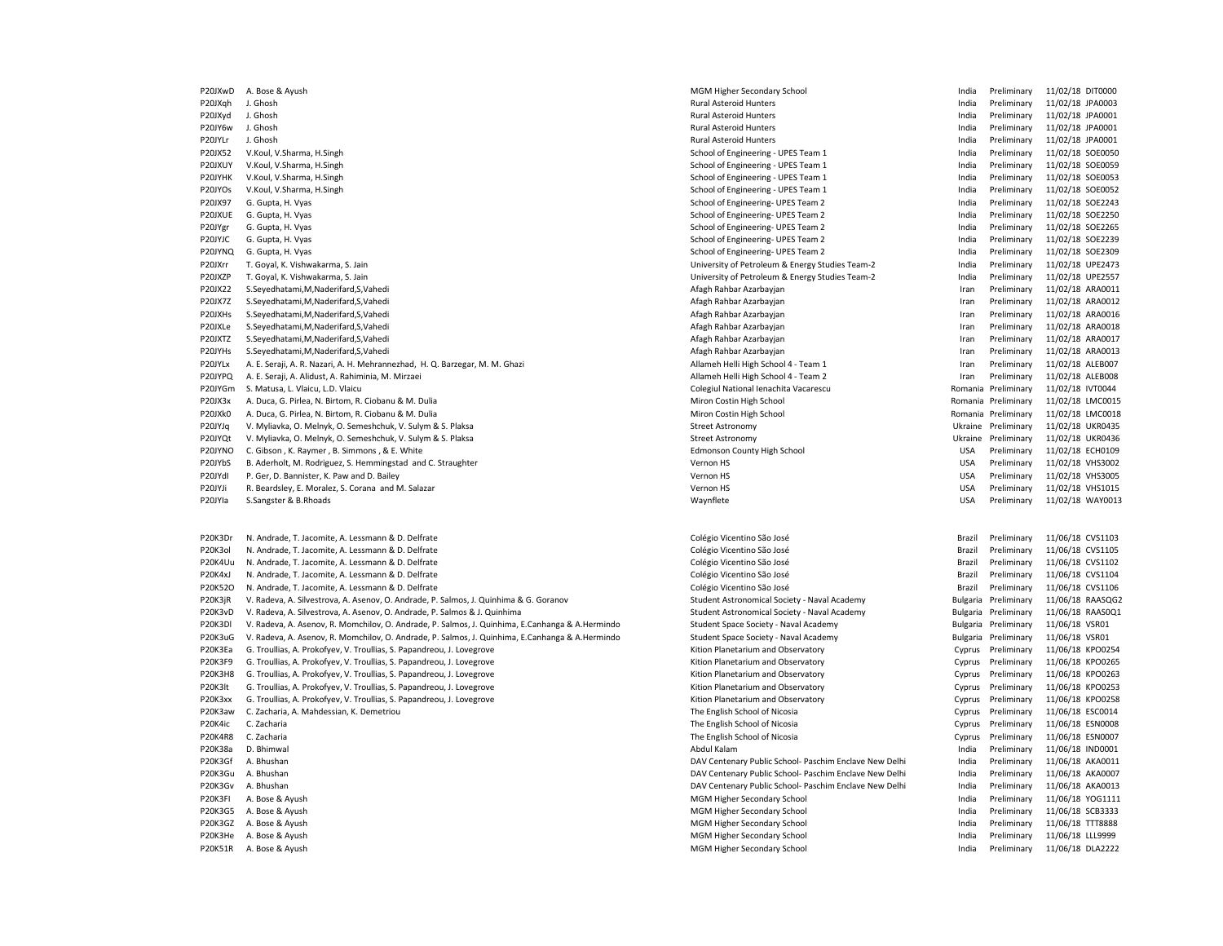P20JXwD A. Bose & Ayush MGM Higher Secondary School Changes and The India Preliminary 11/02/18 DIT0000 P20JXqh J. Ghosh Rural Asteroid Hunters Rural Asteroid Hunters Particle Rural Asteroid Hunters (Particle Preliminary 11/02/18 JPA0003 P20JXyd J. Ghosh Rural Asteroid Hunters India Preliminary 11/02/18 JPA0001 P20JY6w J. Ghosh Rural Asteroid Hunters Particles india Preliminary 11/02/18 JPA0001 P20JYLr J. Ghosh Rural Asteroid Hunters India Preliminary 11/02/18 JPA0001 P20JX52 V.Koul, V.Sharma, H.Singh School, H.Singh School of Engineering - UPES Team 1 and a Preliminary 11/02/18 SOE0050 P20JXUY V.Koul, V.Sharma, H.Singh School of Engineering - UPES Team 1 The School of Engineering - UPES Team 1 The School of Engineering - UPES Team 1 The School of Engineering - UPES Team 1 The School of Engineering - UPES P20JYHK V.Koul, V.Sharma, H.Singh Soedosa Manusia and School of Engineering - UPES Team 1 India Preliminary 11/02/18 SOE0053<br>P20JYOs V.Koul, V.Sharma, H.Singh Soedosa National School of Engineering - UPES Team 1 India Prel P20JX97 G. Gupta, H. Vyas School of Engineering- UPES Team 2 Preliminary 11/02/18 SCE2243 P20JXUE G. Gupta, H. Vyas School of Engineering- UPES Team 2 India Preliminary 11/02/18 SOE2250 P20JYgr G. Gupta. H. Vyas School of Engineering- UPES Team 2 India Preliminary 11/02/18 SOE2265 P20JYJC G. Gupta, H. Vyas School of Engineering- UPES Team 2 India Preliminary 11/02/18 SOE2239 P20JYNQ G. Gupta, H. Vyas SCE2309 CROSS CROSS CROSS CROSS CROSS CROSS CROSS CROSS CROSS CROSS CROSS CROSS CROSS CROSS CROSS CROSS CROSS CROSS CROSS CROSS CROSS CROSS CROSS CROSS CROSS CROSS CROSS CROSS CROSS CROSS CROSS CR P20JXrr T. Goyal, K. Vishwakarma, S. Jain University of Petroleum & Energy Studies Team-2 India Preliminary 11/02/18 UPE2473 P20JXZP T. Goyal, K. Vishwakarma, S. Jain University of Petroleum & Energy Studies Team-2 India Preliminary 11/02/18 UPE2557 P20JX22 S.Seyedhatami,M,Naderifard,S,Vahedi 

P20JX22 S.Seyedhatami,M,Naderifard,S,Vahedi 

P20JX22 S.Seyedhatami,M,Naderifard,S,Vahedi P20JX7Z S.Seyedhatami,M,Naderifard,S,Vahedi Afagh Rahbar Azarbayjan Iran Preliminary 11/02/18 ARA0012 P20JXHs S.Seyedhatami,M,Naderifard,S,Vahedi **Afagh Rahbar Azarbayjan** Afagh Rahbar Azarbayjan **Iran Preliminary 11/02/18 ARA0016** P20JXLe S.Seyedhatami,M,Naderifard,S,Vahedi **Afagh Rahbar Azarbayjan** Afagh Rahbar Azarbayjan **Iran Preliminary 11/02/18 ARA0018** P20JXTZ S.Seyedhatami,M,Naderifard,S,Vahedi Afagh Rahbar Azarbayjan Iran Preliminary 11/02/18 ARA0017 P20JYHs S.Seyedhatami,M,Naderifard,S,Vahedi Afagh Rahbar Azarbayjan Iran Preliminary 11/02/18 ARA0013 P20JYLx A. E. Seraji, A. R. Nazari, A. H. Mehrannezhad, H. Q. Barzegar, M. M. Ghazi Allameh Helli High School 4 - Team 1 Iran Preliminary 11/02/18 ALEB007 P20JYPQ A. E. Seraji, A. Alidust, A. Rahiminia, M. Mirzaei Allameh Helli High School 4 - Team 2 Iran Preliminary 11/02/18 ALEB008 P20JYGm S. Matusa, L. Vlaicu, L.D. Vlaicu Colegiul National Ienachita Vacarescu Colegiul National Ienachita Vacarescu Romania Preliminary 11/02/18 IVT0044 P20JX3x A. Duca, G. Pirlea, N. Birtom, R. Ciobanu & M. Dulia Natural Miron Costin High School Miron Costin High School Nation Costin High School Romania Preliminary 11/02/18 LMC0018 NACOO15<br>P20JXk0 A. Duca, G. Pirlea, N. B P20JXk0 A. Duca, G. Pirlea, N. Birtom, R. Ciobanu & M. Dulia Miron Costin High School Niron Costin High School Romania Preliminary 11/02/18 Romania Preliminary P20JYJq V. Myliavka, O. Melnyk, O. Semeshchuk, V. Sulym & S. Plaksa Street Astronomy Street Astronomy Street Astronomy Ukraine Preliminary 11/02/18 UKR0435 P20JYQt V. Myliavka, O. Melnyk, O. Semeshchuk, V. Sulym & S. Plaksa Street Astronomy Street Astronomy Street Astronomy Ukraine Preliminary 11/02/18 UKR0436 P20JYNO C. Gibson , K. Raymer , B. Simmons , & E. White Echonson County High School Edmonson County High School County High School USA Preliminary 11/02/18 ECH0109 P20JYbS B. Aderholt, M. Rodriguez, S. Hemmingstad and C. Straughter Vernon HT Vernon HS Vernon HS Vernon HS USA Preliminary 11/02/18 VHS3002 P20JYdl P. Ger, D. Bannister, K. Paw and D. Bailey Vernon HS Vernon HS Vernon HS Vernon HS Vernon HS Vernon HS VERSIOUS P20JYJi R. Beardsley, E. Moralez, S. Corana and M. Salazar National State of Material Corporation HS Vernon HS Vernon HS Vernon HS Vernon HS Vernon HS Vernon HS VERNOLD USA Preliminary 11/02/18 VHS1015 P20JYIa S.Sangster & B.Rhoads examples and the state of the USA Preliminary 11/02/18 WAY0013 P20K3Dr N. Andrade, T. Jacomite, A. Lessmann & D. Delfrate Colégio Colégio Vicentino São José Colégio Vicentino São José Brazil Preliminary 11/06/18 CVS1103 P20K3ol N. Andrade, T. Jacomite, A. Lessmann & D. Delfrate Colégio Vicentino São José Colégio Vicentino São José Colégio Vicentino São José Colégio Vicentino São José Brazil Preliminary 11/06/18 CVS1102<br>P20K4Uu N. Andrade. P20K4Uu N. Andrade, T. Jacomite, A. Lessmann & D. Delfrate Colégio Vicentino São José Colégio Vicentino São José Colégio Vicentino São José Colégio Vicentino São José Brazil Preliminary 11/06/18 CVS1102<br>P20K4xJ N. Andrade, P20K4xJ N. Andrade, T. Jacomite, A. Lessmann & D. Delfrate Colégio Vicentino São José Colégio Vicentino São José Brazil Preliminary 11/07/18 Preliminary 11/07/18 Preliminary 11/07/18 Preliminary 11/07/18 Preliminary 11/07/ P20K52O N. Andrade, T. Jacomite, A. Lessmann & D. Delfrate Colégio Vicentino São José Colégio Vicentino São José Colégio Vicentino São José Brazil Preliminary 11/06/18 CVS1106 P20K3jR V. Radeva, A. Silvestrova, A. Asenov, O. Andrade, P. Salmos, J. Quinhima & G. Goranov Student Astronomical Society - Naval Academy Bulgaria Preliminary 11/06/18 RAASQG2 P20K3vD V. Radeva, A. Silvestrova, A. Asenov, O. Andrade, P. Salmos & J. Quinhima Student Stronomical Society - Naval Academy Student Astronomical Society - Naval Academy Bulgaria Preliminary 11/06/18 RAAS0Q1 P20K3Dl V. Radeva, A. Asenov, R. Momchilov, O. Andrade, P. Salmos, J. Quinhima, E.Canhanga & A.Hermindo Student Space Society - Naval Academy Bulgaria Preliminary 11/06/18 VSR01 P20K3uG V. Radeva, A. Asenov, R. Momchilov, O. Andrade, P. Salmos, J. Quinhima, E.Canhanga & A. Hermindo Student Space Society - Naval Academy Student Space Society - Naval Academy Bulgaria Preliminary 11/06/18 VSR01 P20K3Ea G. Troullias, A. Prokofyev, V. Troullias, S. Papandreou, J. Lovegrove enterty and the external control of the Music Planetarium and Observatory Cyprus Preliminary 11/06/18 KPO0254 P20K3F9 G. Troullias, A. Prokofyev, V. Troullias, S. Papandreou, J. Lovegrove enterty and the enterty controlling that the Cyprus Preliminary 11/06/18 KPO0265 P20K3H8 G. Troullias, A. Prokofyev, V. Troullias, S. Papandreou, J. Lovegrove enterty and the enterty controller and Observatory Cyprus Preliminary 11/06/18 KPO0263 P20K3lt G. Troullias, A. Prokofyev, V. Troullias, S. Papandreou, J. Lovegrove externed and the externed Changlerium and Observatory Cyprus Preliminary 11/06/18 KPO0253 P20K3xx G. Troullias, A. Prokofyev, V. Troullias, S. Papandreou, J. Lovegrove Channel Channel Channel Artion Planetarium and Observatory Cyprus Preliminary 11/06/18 KPO0258 P20K3aw C. Zacharia, A. Mahdessian, K. Demetriou The English School of Nicosia The English School of Nicosia Cyprus Preliminary 11/06/18 ESC0014 P20K4ic C. Zacharia english School of Nicosia The English School of Nicosia Cyprus Preliminary 11/06/18 ESN0008 P20K4R8 C. Zacharia The English School of Nicosia Cyprus Preliminary 11/06/18 ESN0007 P20K38a D. Bhimwal Abdul Kalam India Preliminary 11/06/18 IND0001 P20K3Gf A. Bhushan DAV Centenary Public School- Paschim Enclave New Delhi India Preliminary 11/06/18 AKA0011 P20K3Gu A. Bhushan DAV Centenary Public School- Paschim Enclave New Delhi India Preliminary 11/06/18 AKA0007 P20K3Gv A. Bhushan DAV Centenary Public School- Paschim Enclave New Delhi India Preliminary 11/06/18 AKA0013 P20K3FI A. Bose & Ayush MGM Higher Secondary School School and MGM Higher Secondary School India Preliminary 11/06/18 YOG1111 P20K3G5 A. Bose & Ayush MGM Higher Secondary School Channel India Preliminary 11/06/18 SCB3333 P20K3GZ A. Bose & Ayush MGM Higher Secondary School and The United States of the India Preliminary 11/06/18 TTT8888 P20K3He A. Bose & Ayush MGM Higher Secondary School and The India Preliminary 11/06/18 LLL9999 P20K3He A. Bose & Ayush MGM Higher Secondary School and The India Preliminary 11/06/18 LLL9999

School of Engineering - UPES Team 1 India Preliminary 11/02/18 Society 11/02/18 Society 11/02/18 Society 11/02/

P20K51R A. Bose & Ayush MGM Higher Secondary School and The India Preliminary 11/06/18 DLA2222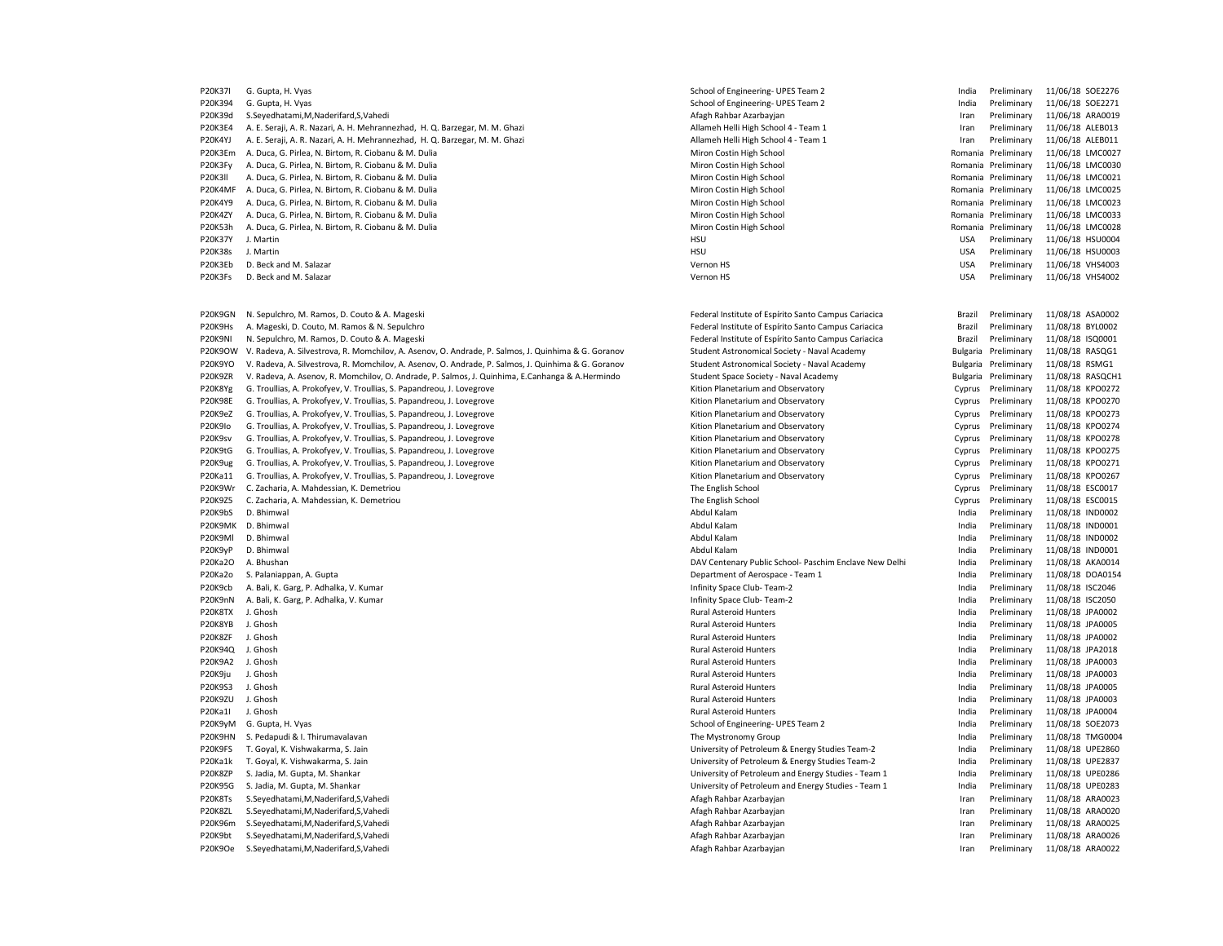| P20K37I        | G. Gupta, H. Vyas                                                                                   | School of Engineering- UPES Team 2                     | India      | Preliminary         | 11/06/18 SOE2276 |  |
|----------------|-----------------------------------------------------------------------------------------------------|--------------------------------------------------------|------------|---------------------|------------------|--|
| P20K394        | G. Gupta, H. Vyas                                                                                   | School of Engineering- UPES Team 2                     | India      | Preliminary         | 11/06/18 SOE2271 |  |
| P20K39d        | S.Seyedhatami, M, Naderifard, S, Vahedi                                                             | Afagh Rahbar Azarbayjan                                | Iran       | Preliminary         | 11/06/18 ARA0019 |  |
| <b>P20K3E4</b> | A. E. Seraji, A. R. Nazari, A. H. Mehrannezhad, H. Q. Barzegar, M. M. Ghazi                         | Allameh Helli High School 4 - Team 1                   | Iran       | Preliminary         | 11/06/18 ALEB013 |  |
| P20K4YJ        | A. E. Seraji, A. R. Nazari, A. H. Mehrannezhad, H. Q. Barzegar, M. M. Ghazi                         | Allameh Helli High School 4 - Team 1                   | Iran       | Preliminary         | 11/06/18 ALEB011 |  |
| P20K3Em        | A. Duca, G. Pirlea, N. Birtom, R. Ciobanu & M. Dulia                                                | Miron Costin High School                               |            | Romania Preliminary | 11/06/18 LMC0027 |  |
| P20K3Fy        | A. Duca, G. Pirlea, N. Birtom, R. Ciobanu & M. Dulia                                                | Miron Costin High School                               |            | Romania Preliminary | 11/06/18 LMC0030 |  |
| P20K3II        | A. Duca, G. Pirlea, N. Birtom, R. Ciobanu & M. Dulia                                                | Miron Costin High School                               |            | Romania Preliminary | 11/06/18 LMC0021 |  |
| P20K4MF        | A. Duca, G. Pirlea, N. Birtom, R. Ciobanu & M. Dulia                                                | Miron Costin High School                               |            | Romania Preliminary | 11/06/18 LMC0025 |  |
| P20K4Y9        | A. Duca, G. Pirlea, N. Birtom, R. Ciobanu & M. Dulia                                                | Miron Costin High School                               |            | Romania Preliminary | 11/06/18 LMC0023 |  |
| P20K4ZY        | A. Duca, G. Pirlea, N. Birtom, R. Ciobanu & M. Dulia                                                | Miron Costin High School                               |            | Romania Preliminary | 11/06/18 LMC0033 |  |
| P20K53h        | A. Duca, G. Pirlea, N. Birtom, R. Ciobanu & M. Dulia                                                | Miron Costin High School                               | Romania    | Preliminary         | 11/06/18 LMC0028 |  |
| P20K37Y        | J. Martin                                                                                           | HSU                                                    | <b>USA</b> | Preliminary         | 11/06/18 HSU0004 |  |
| P20K38s        | J. Martin                                                                                           | HSU                                                    | <b>USA</b> | Preliminary         | 11/06/18 HSU0003 |  |
| P20K3Eb        | D. Beck and M. Salazar                                                                              | Vernon HS                                              | <b>USA</b> | Preliminary         | 11/06/18 VHS4003 |  |
| P20K3Fs        | D. Beck and M. Salazar                                                                              | Vernon HS                                              | <b>USA</b> | Preliminary         | 11/06/18 VHS4002 |  |
|                |                                                                                                     |                                                        |            |                     |                  |  |
|                |                                                                                                     |                                                        |            |                     |                  |  |
| P20K9GN        | N. Sepulchro, M. Ramos, D. Couto & A. Mageski                                                       | Federal Institute of Espírito Santo Campus Cariacica   | Brazil     | Preliminary         | 11/08/18 ASA0002 |  |
| P20K9Hs        | A. Mageski, D. Couto, M. Ramos & N. Sepulchro                                                       | Federal Institute of Espírito Santo Campus Cariacica   | Brazil     | Preliminary         | 11/08/18 BYL0002 |  |
| P20K9NI        | N. Sepulchro, M. Ramos, D. Couto & A. Mageski                                                       | Federal Institute of Espírito Santo Campus Cariacica   | Brazil     | Preliminary         | 11/08/18 ISQ0001 |  |
| P20K9OW        | V. Radeva, A. Silvestrova, R. Momchilov, A. Asenov, O. Andrade, P. Salmos, J. Quinhima & G. Goranov | Student Astronomical Society - Naval Academy           | Bulgaria   | Preliminary         | 11/08/18 RASQG1  |  |
| P20K9YO        | V. Radeva, A. Silvestrova, R. Momchilov, A. Asenov, O. Andrade, P. Salmos, J. Quinhima & G. Goranov | Student Astronomical Society - Naval Academy           | Bulgaria   | Preliminary         | 11/08/18 RSMG1   |  |
| P20K9ZR        | V. Radeva, A. Asenov, R. Momchilov, O. Andrade, P. Salmos, J. Quinhima, E.Canhanga & A.Hermindo     | Student Space Society - Naval Academy                  | Bulgaria   | Preliminary         | 11/08/18 RASQCH1 |  |
| P20K8Yg        | G. Troullias, A. Prokofyev, V. Troullias, S. Papandreou, J. Lovegrove                               | Kition Planetarium and Observatory                     | Cyprus     | Preliminary         | 11/08/18 KPO0272 |  |
| <b>P20K98E</b> | G. Troullias, A. Prokofyev, V. Troullias, S. Papandreou, J. Lovegrove                               | Kition Planetarium and Observatory                     | Cyprus     | Preliminary         | 11/08/18 KPO0270 |  |
| P20K9eZ        | G. Troullias, A. Prokofyev, V. Troullias, S. Papandreou, J. Lovegrove                               | Kition Planetarium and Observatory                     | Cyprus     | Preliminary         | 11/08/18 KPO0273 |  |
| P20K9Io        | G. Troullias, A. Prokofyev, V. Troullias, S. Papandreou, J. Lovegrove                               | Kition Planetarium and Observatory                     | Cyprus     | Preliminary         | 11/08/18 KPO0274 |  |
| P20K9sv        | G. Troullias, A. Prokofyev, V. Troullias, S. Papandreou, J. Lovegrove                               | Kition Planetarium and Observatory                     | Cyprus     | Preliminary         | 11/08/18 KPO0278 |  |
| P20K9tG        | G. Troullias, A. Prokofyev, V. Troullias, S. Papandreou, J. Lovegrove                               | Kition Planetarium and Observatory                     | Cyprus     | Preliminary         | 11/08/18 KPO0275 |  |
| P20K9ug        | G. Troullias, A. Prokofyev, V. Troullias, S. Papandreou, J. Lovegrove                               | Kition Planetarium and Observatory                     | Cyprus     | Preliminary         | 11/08/18 KPO0271 |  |
| P20Ka11        | G. Troullias, A. Prokofyev, V. Troullias, S. Papandreou, J. Lovegrove                               | Kition Planetarium and Observatory                     | Cyprus     | Preliminary         | 11/08/18 KPO0267 |  |
| P20K9Wr        | C. Zacharia, A. Mahdessian, K. Demetriou                                                            | The English School                                     | Cyprus     | Preliminary         | 11/08/18 ESC0017 |  |
| P20K9Z5        | C. Zacharia, A. Mahdessian, K. Demetriou                                                            | The English School                                     | Cyprus     | Preliminary         | 11/08/18 ESC0015 |  |
| P20K9bS        | D. Bhimwal                                                                                          | Abdul Kalam                                            | India      | Preliminary         | 11/08/18 IND0002 |  |
|                | P20K9MK D. Bhimwal                                                                                  | Abdul Kalam                                            | India      | Preliminary         | 11/08/18 IND0001 |  |
| P20K9MI        | D. Bhimwal                                                                                          | Abdul Kalam                                            | India      | Preliminary         | 11/08/18 IND0002 |  |
| P20K9yP        | D. Bhimwal                                                                                          | Abdul Kalam                                            | India      | Preliminary         | 11/08/18 IND0001 |  |
| P20Ka2O        | A. Bhushan                                                                                          | DAV Centenary Public School- Paschim Enclave New Delhi | India      | Preliminary         | 11/08/18 AKA0014 |  |
| P20Ka2o        | S. Palaniappan, A. Gupta                                                                            | Department of Aerospace - Team 1                       | India      | Preliminary         | 11/08/18 DOA0154 |  |
| P20K9cb        | A. Bali, K. Garg, P. Adhalka, V. Kumar                                                              | Infinity Space Club-Team-2                             | India      | Preliminary         | 11/08/18 ISC2046 |  |
| P20K9nN        | A. Bali, K. Garg, P. Adhalka, V. Kumar                                                              | Infinity Space Club-Team-2                             | India      | Preliminary         | 11/08/18 ISC2050 |  |
| P20K8TX        | J. Ghosh                                                                                            | <b>Rural Asteroid Hunters</b>                          | India      | Preliminary         | 11/08/18 JPA0002 |  |
| P20K8YB        | J. Ghosh                                                                                            | Rural Asteroid Hunters                                 | India      | Preliminary         | 11/08/18 JPA0005 |  |
| P20K8ZF        | J. Ghosh                                                                                            | <b>Rural Asteroid Hunters</b>                          | India      | Preliminary         | 11/08/18 JPA0002 |  |
| P20K94Q        | J. Ghosh                                                                                            | <b>Rural Asteroid Hunters</b>                          | India      | Preliminary         | 11/08/18 JPA2018 |  |
| P20K9A2        | J. Ghosh                                                                                            | <b>Rural Asteroid Hunters</b>                          | India      | Preliminary         | 11/08/18 JPA0003 |  |
| P20K9ju        | J. Ghosh                                                                                            | <b>Rural Asteroid Hunters</b>                          | India      | Preliminary         | 11/08/18 JPA0003 |  |
| P20K9S3        | J. Ghosh                                                                                            | Rural Asteroid Hunters                                 | India      | Preliminary         | 11/08/18 JPA0005 |  |
| P20K9ZU        | J. Ghosh                                                                                            | <b>Rural Asteroid Hunters</b>                          | India      | Preliminary         | 11/08/18 JPA0003 |  |
| P20Ka1I        | J. Ghosh                                                                                            | <b>Rural Asteroid Hunters</b>                          | India      | Preliminary         | 11/08/18 JPA0004 |  |
| P20K9yM        | G. Gupta, H. Vyas                                                                                   | School of Engineering- UPES Team 2                     | India      | Preliminary         | 11/08/18 SOE2073 |  |
| P20K9HN        | S. Pedapudi & I. Thirumavalavan                                                                     | The Mystronomy Group                                   | India      | Preliminary         | 11/08/18 TMG0004 |  |
| P20K9FS        | T. Goyal, K. Vishwakarma, S. Jain                                                                   | University of Petroleum & Energy Studies Team-2        | India      | Preliminary         | 11/08/18 UPE2860 |  |
| P20Ka1k        | T. Goyal, K. Vishwakarma, S. Jain                                                                   | University of Petroleum & Energy Studies Team-2        | India      | Preliminary         | 11/08/18 UPE2837 |  |
| P20K8ZP        | S. Jadia, M. Gupta, M. Shankar                                                                      | University of Petroleum and Energy Studies - Team 1    | India      | Preliminary         | 11/08/18 UPE0286 |  |
| P20K95G        | S. Jadia, M. Gupta, M. Shankar                                                                      | University of Petroleum and Energy Studies - Team 1    | India      | Preliminary         | 11/08/18 UPE0283 |  |
| P20K8Ts        | S.Seyedhatami, M, Naderifard, S, Vahedi                                                             | Afagh Rahbar Azarbayjan                                | Iran       | Preliminary         | 11/08/18 ARA0023 |  |
|                |                                                                                                     |                                                        |            |                     |                  |  |
| P20K8ZL        | S.Seyedhatami, M, Naderifard, S, Vahedi                                                             | Afagh Rahbar Azarbayjan                                | Iran       | Preliminary         | 11/08/18 ARA0020 |  |
| P20K96m        | S.Seyedhatami, M, Naderifard, S, Vahedi                                                             | Afagh Rahbar Azarbayjan                                | Iran       | Preliminary         | 11/08/18 ARA0025 |  |
| P20K9bt        | S.Seyedhatami, M, Naderifard, S, Vahedi                                                             | Afagh Rahbar Azarbayjan                                | Iran       | Preliminary         | 11/08/18 ARA0026 |  |
| P20K9Oe        | S.Seyedhatami, M, Naderifard, S, Vahedi                                                             | Afagh Rahbar Azarbayjan                                | Iran       | Preliminary         | 11/08/18 ARA0022 |  |